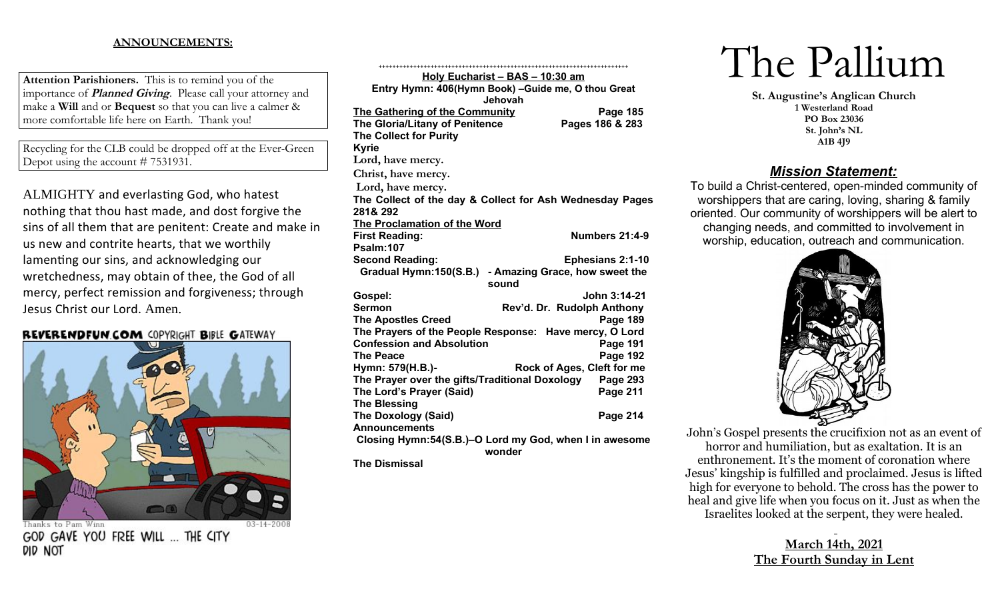# **ANNOUNCEMENTS:**

**Attention Parishioners.** This is to remind you of the importance of **Planned Giving**. Please call your attorney and make a **Will** and or **Bequest** so that you can live a calmer & more comfortable life here on Earth. Thank you!

Recycling for the CLB could be dropped off at the Ever-Green Depot using the account # 7531931.

ALMIGHTY and everlasting God, who hatest nothing that thou hast made, and dost forgive the sins of all them that are penitent: Create and make in us new and contrite hearts, that we worthily lamenting our sins, and acknowledging our wretchedness, may obtain of thee, the God of all mercy, perfect remission and forgiveness; through Jesus Christ our Lord. Amen.

## **REVERENDFUN.COM COPYRIGHT BIBLE GATEWAY**



Thanks to Pam Winn GOD GAVE YOU FREE WILL ... THE CITY did not

| <u> Holy Eucharist – BAS – 10:30 am</u>                  |                                |  |
|----------------------------------------------------------|--------------------------------|--|
| Entry Hymn: 406(Hymn Book) - Guide me, O thou Great      |                                |  |
| <b>Jehovah</b>                                           |                                |  |
| The Gathering of the Community                           | Page 185                       |  |
| The Gloria/Litany of Penitence                           | Pages 186 & 283                |  |
| <b>The Collect for Purity</b>                            |                                |  |
| <b>Kyrie</b>                                             |                                |  |
| Lord, have mercy.                                        |                                |  |
| Christ, have mercy.                                      |                                |  |
| Lord, have mercy.                                        |                                |  |
| The Collect of the day & Collect for Ash Wednesday Pages |                                |  |
| 281& 292                                                 |                                |  |
| <b>The Proclamation of the Word</b>                      |                                |  |
| <b>First Reading:</b>                                    | Numbers 21:4-9                 |  |
| Psalm:107                                                |                                |  |
| <b>Second Reading:</b>                                   | <b>Ephesians 2:1-10</b>        |  |
| Gradual Hymn:150(S.B.)                                   | - Amazing Grace, how sweet the |  |
| sound                                                    |                                |  |
| Gospel:                                                  | John 3:14-21                   |  |
| <b>Sermon</b>                                            | Rev'd. Dr. Rudolph Anthony     |  |
| <b>The Apostles Creed</b>                                | <b>Page 189</b>                |  |
| The Prayers of the People Response: Have mercy, O Lord   |                                |  |
| <b>Confession and Absolution</b>                         | <b>Page 191</b>                |  |
| <b>The Peace</b>                                         | <b>Page 192</b>                |  |
| Rock of Ages, Cleft for me<br>Hymn: 579(H.B.)-           |                                |  |
| The Prayer over the gifts/Traditional Doxology           | Page 293                       |  |
| The Lord's Prayer (Said)                                 | <b>Page 211</b>                |  |
| <b>The Blessing</b>                                      |                                |  |
| <b>The Doxology (Said)</b>                               | Page 214                       |  |
| <b>Announcements</b>                                     |                                |  |
| Closing Hymn: 54(S.B.)–O Lord my God, when I in awesome  |                                |  |
| wonder<br>安し こうあん しょうしょうし                                |                                |  |
|                                                          |                                |  |

**The Dismissal**

# The Pallium

**St. Augustine's Anglican Church 1 Westerland Road PO Box 23036 St. John's NL A1B 4J9**

# *Mission Statement:*

To build a Christ-centered, open-minded community of worshippers that are caring, loving, sharing & family oriented. Our community of worshippers will be alert to changing needs, and committed to involvement in worship, education, outreach and communication.



John's Gospel presents the crucifixion not as an event of horror and humiliation, but as exaltation. It is an enthronement. It's the moment of coronation where Jesus' kingship is fulfilled and proclaimed. Jesus is lifted high for everyone to behold. The cross has the power to heal and give life when you focus on it. Just as when the Israelites looked at the serpent, they were healed.

# **March 14th, 2021 The Fourth Sunday in Lent**